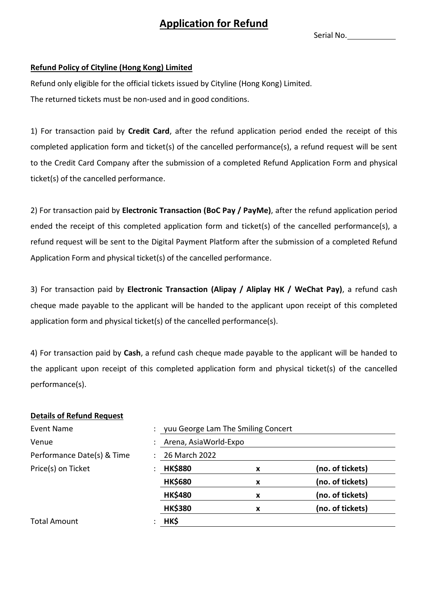## **Application for Refund**

Serial No.

## **Refund Policy of Cityline (Hong Kong) Limited**

Refund only eligible for the official tickets issued by Cityline (Hong Kong) Limited. The returned tickets must be non-used and in good conditions.

1) For transaction paid by **Credit Card**, after the refund application period ended the receipt of this completed application form and ticket(s) of the cancelled performance(s), a refund request will be sent to the Credit Card Company after the submission of a completed Refund Application Form and physical ticket(s) of the cancelled performance.

2) For transaction paid by **Electronic Transaction (BoC Pay / PayMe)**, after the refund application period ended the receipt of this completed application form and ticket(s) of the cancelled performance(s), a refund request will be sent to the Digital Payment Platform after the submission of a completed Refund Application Form and physical ticket(s) of the cancelled performance.

3) For transaction paid by **Electronic Transaction (Alipay / Aliplay HK / WeChat Pay)**, a refund cash cheque made payable to the applicant will be handed to the applicant upon receipt of this completed application form and physical ticket(s) of the cancelled performance(s).

4) For transaction paid by **Cash**, a refund cash cheque made payable to the applicant will be handed to the applicant upon receipt of this completed application form and physical ticket(s) of the cancelled performance(s).

## **Details of Refund Request**

| Event Name                 | yuu George Lam The Smiling Concert |   |                  |
|----------------------------|------------------------------------|---|------------------|
| Venue                      | Arena, AsiaWorld-Expo              |   |                  |
| Performance Date(s) & Time | 26 March 2022                      |   |                  |
| Price(s) on Ticket         | <b>HK\$880</b>                     | x | (no. of tickets) |
|                            | <b>HK\$680</b>                     | X | (no. of tickets) |
|                            | <b>HK\$480</b>                     | x | (no. of tickets) |
|                            | <b>HK\$380</b>                     | x | (no. of tickets) |
| <b>Total Amount</b>        | HK\$                               |   |                  |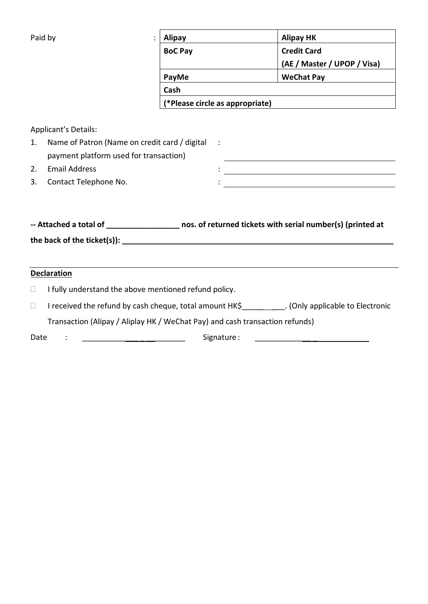| Paid by | <b>Alipay</b>  | <b>Alipay HK</b>                |  |  |  |
|---------|----------------|---------------------------------|--|--|--|
|         | <b>BoC Pay</b> | <b>Credit Card</b>              |  |  |  |
|         |                | (AE / Master / UPOP / Visa)     |  |  |  |
|         | PayMe          | <b>WeChat Pay</b>               |  |  |  |
|         | Cash           |                                 |  |  |  |
|         |                | (*Please circle as appropriate) |  |  |  |

Applicant's Details:

| Name of Patron (Name on credit card / digital : |  |
|-------------------------------------------------|--|
| payment platform used for transaction)          |  |
| Email Address                                   |  |

3. Contact Telephone No. 2008 (2008) 2012 2022 2023 2024 2022 2023 2024 2022 2023 2024 2022 2023 2024 2022 2023 2024 2022 2023 2024 2022 2023 2024 2022 2023 2024 2023 2024 2023 2024 2023 2024 2023 2024 2023 2024 2023 2024

**-- Attached a total of \_\_\_\_\_\_\_\_\_\_\_\_\_\_\_\_\_ nos. of returned tickets with serial number(s) (printed at**  the back of the ticket(s)): **with a set of the set of the set of the set of the set of the set of the set of the set of the set of the set of the set of the set of the set of the set of the set of the set of the set of the** 

## **Declaration**

- $\Box$  I fully understand the above mentioned refund policy.
- □ I received the refund by cash cheque, total amount HK\$\_\_\_\_\_\_\_\_\_\_\_. (Only applicable to Electronic

Transaction (Alipay / Aliplay HK / WeChat Pay) and cash transaction refunds)

Date : \_\_\_\_\_\_\_\_\_\_\_\_\_\_\_\_\_\_\_\_\_\_\_\_\_\_\_\_\_\_\_\_\_ Signature :